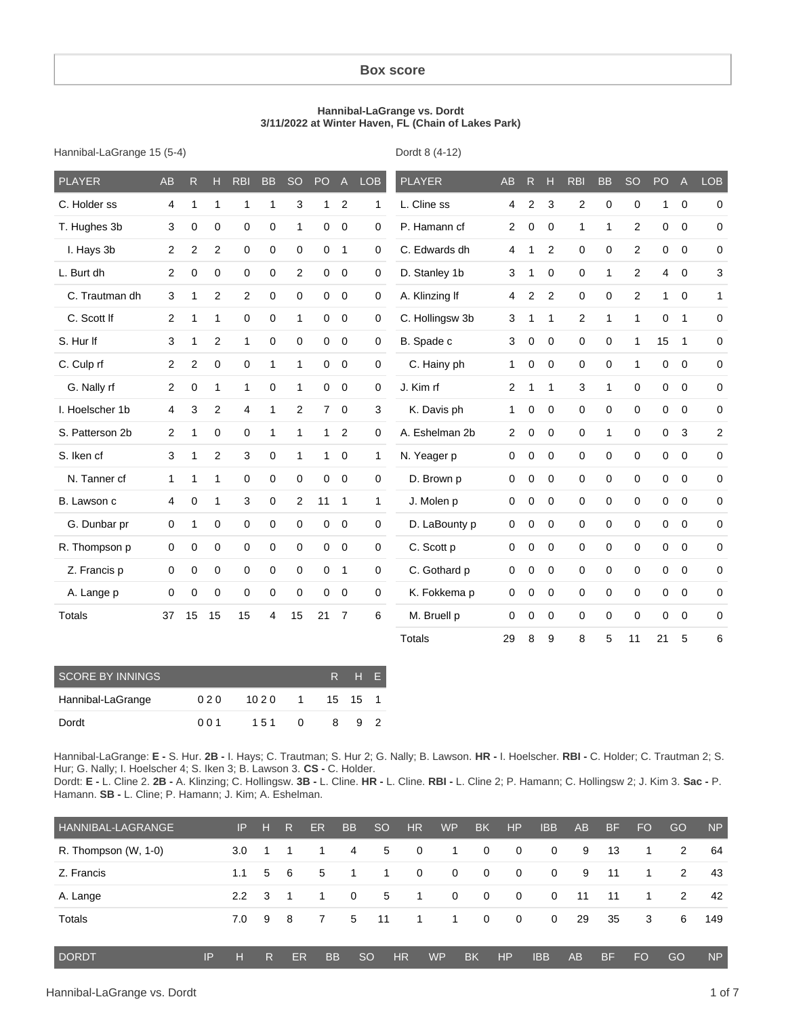#### **Box score**

#### **Hannibal-LaGrange vs. Dordt 3/11/2022 at Winter Haven, FL (Chain of Lakes Park)**

Hannibal-LaGrange 15 (5-4)

Dordt 8 (4-12)

| <b>PLAYER</b>   | <b>AB</b>      | R            | н            | <b>RBI</b>     | <b>BB</b>      | <b>SO</b>      | PO             | $\overline{A}$ | <b>LOB</b>   | <b>PLAYER</b>   | <b>AB</b>      | $\mathsf{R}$   | Н              | <b>RBI</b>   | <b>BB</b>   | <b>SO</b>      | PO             | A              | <b>LOB</b>     |
|-----------------|----------------|--------------|--------------|----------------|----------------|----------------|----------------|----------------|--------------|-----------------|----------------|----------------|----------------|--------------|-------------|----------------|----------------|----------------|----------------|
| C. Holder ss    | 4              | $\mathbf{1}$ | $\mathbf{1}$ | 1              | $\mathbf{1}$   | 3              | 1              | $\overline{2}$ | 1            | L. Cline ss     | $\overline{4}$ | $\overline{2}$ | 3              | $\mathbf{2}$ | $\mathbf 0$ | 0              | 1              | $\mathbf 0$    | $\pmb{0}$      |
| T. Hughes 3b    | 3              | 0            | $\mathbf 0$  | 0              | 0              | 1              | 0              | $\mathbf 0$    | 0            | P. Hamann cf    | $\overline{2}$ | 0              | $\mathbf 0$    | 1            | 1           | 2              | 0              | $\mathbf 0$    | 0              |
| I. Hays 3b      | 2              | 2            | 2            | $\mathbf 0$    | $\mathbf 0$    | $\Omega$       | $\mathbf 0$    | $\mathbf{1}$   | 0            | C. Edwards dh   | $\overline{4}$ | 1              | $\overline{2}$ | 0            | $\mathbf 0$ | $\overline{c}$ | 0              | $\mathbf 0$    | 0              |
| L. Burt dh      | $\overline{c}$ | $\mathbf 0$  | $\mathbf 0$  | $\mathbf 0$    | $\pmb{0}$      | $\overline{2}$ | 0              | $\mathbf 0$    | 0            | D. Stanley 1b   | 3              | 1              | $\Omega$       | $\mathbf 0$  | 1           | $\overline{2}$ | $\overline{4}$ | $\mathbf 0$    | 3              |
| C. Trautman dh  | 3              | $\mathbf 1$  | 2            | 2              | 0              | 0              | $\mathbf 0$    | $\overline{0}$ | 0            | A. Klinzing If  | $\overline{4}$ | 2              | 2              | $\mathbf 0$  | $\mathbf 0$ | $\overline{2}$ | $\mathbf{1}$   | $\mathbf 0$    | $\mathbf{1}$   |
| C. Scott If     | $\overline{2}$ | $\mathbf 1$  | $\mathbf{1}$ | 0              | 0              | $\mathbf{1}$   | 0              | $\mathbf 0$    | 0            | C. Hollingsw 3b | 3              | 1              | 1              | 2            | 1           | 1              | 0              | $\mathbf{1}$   | 0              |
| S. Hur If       | 3              | 1            | 2            | 1              | $\mathbf 0$    | $\mathbf 0$    | 0              | $\overline{0}$ | 0            | B. Spade c      | 3              | $\mathbf 0$    | 0              | $\mathbf 0$  | $\mathbf 0$ | 1              | 15             | 1              | 0              |
| C. Culp rf      | 2              | 2            | $\mathbf 0$  | $\mathbf 0$    | $\mathbf{1}$   | $\mathbf{1}$   | $\Omega$       | $\mathbf 0$    | 0            | C. Hainy ph     | $\mathbf{1}$   | 0              | $\Omega$       | $\mathbf 0$  | $\mathbf 0$ | 1              | 0              | $\Omega$       | 0              |
| G. Nally rf     | $\overline{2}$ | $\mathbf 0$  | $\mathbf{1}$ | 1              | $\mathbf 0$    | $\mathbf{1}$   | $\mathbf 0$    | $\overline{0}$ | 0            | J. Kim rf       | $\overline{2}$ | 1              | 1              | 3            | 1           | $\Omega$       | $\mathbf 0$    | $\overline{0}$ | 0              |
| I. Hoelscher 1b | 4              | 3            | 2            | $\overline{4}$ | $\mathbf{1}$   | $\overline{2}$ | $\overline{7}$ | $\overline{0}$ | 3            | K. Davis ph     | $\mathbf{1}$   | 0              | $\mathbf 0$    | $\mathsf 0$  | $\mathbf 0$ | 0              | 0              | $\mathbf 0$    | 0              |
| S. Patterson 2b | 2              | 1            | $\mathbf 0$  | 0              | 1              | 1              | $\mathbf{1}$   | $\overline{2}$ | 0            | A. Eshelman 2b  | $\overline{2}$ | 0              | 0              | 0            | 1           | 0              | 0              | 3              | $\overline{c}$ |
| S. Iken cf      | 3              | 1            | 2            | 3              | $\mathbf 0$    | $\mathbf{1}$   | $\mathbf{1}$   | $\overline{0}$ | 1            | N. Yeager p     | $\Omega$       | $\mathbf 0$    | $\Omega$       | 0            | $\mathbf 0$ | $\Omega$       | $\mathbf 0$    | $\mathbf 0$    | 0              |
| N. Tanner cf    | $\mathbf{1}$   | 1            | $\mathbf{1}$ | $\mathbf 0$    | 0              | 0              | 0              | $\overline{0}$ | 0            | D. Brown p      | $\mathbf 0$    | $\mathbf 0$    | $\Omega$       | $\mathbf 0$  | $\mathbf 0$ | $\Omega$       | 0              | $\mathbf 0$    | 0              |
| B. Lawson c     | 4              | $\mathbf 0$  | $\mathbf{1}$ | 3              | $\mathbf 0$    | 2              | 11             | $\mathbf{1}$   | $\mathbf{1}$ | J. Molen p      | $\mathbf 0$    | 0              | $\mathbf 0$    | $\mathbf 0$  | $\mathbf 0$ | 0              | 0              | $\overline{0}$ | 0              |
| G. Dunbar pr    | 0              | $\mathbf{1}$ | $\mathbf 0$  | 0              | $\mathbf 0$    | 0              | 0              | $\mathbf 0$    | 0            | D. LaBounty p   | $\mathbf 0$    | $\mathbf 0$    | $\Omega$       | 0            | $\mathbf 0$ | 0              | 0              | $\mathbf 0$    | 0              |
| R. Thompson p   | 0              | $\mathbf 0$  | $\mathbf 0$  | $\mathbf 0$    | $\mathbf 0$    | $\mathbf 0$    | $\mathbf 0$    | $\overline{0}$ | 0            | C. Scott p      | $\mathbf 0$    | $\mathbf 0$    | 0              | 0            | $\mathbf 0$ | 0              | 0              | $\overline{0}$ | 0              |
| Z. Francis p    | 0              | $\mathbf 0$  | $\mathbf 0$  | 0              | 0              | 0              | 0              | $\mathbf{1}$   | 0            | C. Gothard p    | $\Omega$       | $\mathbf 0$    | $\Omega$       | $\mathbf 0$  | $\mathbf 0$ | $\Omega$       | 0              | $\mathbf 0$    | 0              |
| A. Lange p      | 0              | 0            | $\mathbf 0$  | $\mathbf 0$    | 0              | 0              | $\mathbf 0$    | $\mathbf 0$    | 0            | K. Fokkema p    | $\mathbf 0$    | $\mathbf 0$    | $\mathbf 0$    | $\mathbf 0$  | $\pmb{0}$   | $\Omega$       | 0              | $\mathbf 0$    | 0              |
| Totals          | 37             | 15           | 15           | 15             | $\overline{4}$ | 15             | 21             | $\overline{7}$ | 6            | M. Bruell p     | $\mathbf 0$    | 0              | $\mathbf 0$    | 0            | $\mathbf 0$ | $\Omega$       | 0              | $\mathbf 0$    | 0              |
|                 |                |              |              |                |                |                |                |                |              | Totals          | 29             | 8              | 9              | 8            | 5           | 11             | 21             | 5              | 6              |

| <b>SCORE BY INNINGS</b> |     | R H E                |              |   |   |    |
|-------------------------|-----|----------------------|--------------|---|---|----|
| Hannibal-LaGrange       | 020 | 10 2 0 1 1 1 5 1 5 1 |              |   |   |    |
| Dordt                   | 001 | 151                  | <sup>0</sup> | 8 | 9 | -2 |

Hannibal-LaGrange: **E -** S. Hur. **2B -** I. Hays; C. Trautman; S. Hur 2; G. Nally; B. Lawson. **HR -** I. Hoelscher. **RBI -** C. Holder; C. Trautman 2; S. Hur; G. Nally; I. Hoelscher 4; S. Iken 3; B. Lawson 3. **CS -** C. Holder.

Dordt: **E -** L. Cline 2. **2B -** A. Klinzing; C. Hollingsw. **3B -** L. Cline. **HR -** L. Cline. **RBI -** L. Cline 2; P. Hamann; C. Hollingsw 2; J. Kim 3. **Sac -** P. Hamann. **SB -** L. Cline; P. Hamann; J. Kim; A. Eshelman.

| HANNIBAL-LAGRANGE    |    | IP.              | н | R              | ER        | <b>BB</b>   | <sub>SO</sub> | <b>HR</b>      | <b>WP</b>    | <b>BK</b>    | HP           | <b>IBB</b>   | AB        | <b>BF</b> | <b>FO</b> | GO | <b>NP</b> |
|----------------------|----|------------------|---|----------------|-----------|-------------|---------------|----------------|--------------|--------------|--------------|--------------|-----------|-----------|-----------|----|-----------|
| R. Thompson (W, 1-0) |    | 3.0 <sub>2</sub> |   |                |           | 4           | 5             | 0              | 1            | 0            | $\mathbf{0}$ | $\mathbf{0}$ | 9         | 13        | 1.        | 2  | 64        |
| Z. Francis           |    | 1.1              | 5 | - 6            | 5         | -1          | 1.            | $\mathbf{0}$   | $\mathbf{0}$ | $\mathbf{0}$ | $\mathbf{0}$ | $\Omega$     | 9         | 11        | 1.        | 2  | 43        |
| A. Lange             |    | $2.2^{\circ}$    | 3 | $\overline{1}$ |           | $\mathbf 0$ | 5             | $\overline{1}$ | $\mathbf 0$  | $\mathbf 0$  | $\mathbf{0}$ | $\Omega$     | -11       | 11        | 1.        | 2  | 42        |
| Totals               |    | 7.0              | 9 | - 8            | 7         | 5           | - 11          | 1              | 1            | 0            | $\mathbf{0}$ | $\Omega$     | 29        | 35        | 3         | 6  | 149       |
| <b>DORDT</b>         | IP | н                | R | ER             | <b>BB</b> |             | <sub>SO</sub> | H <sub>R</sub> | <b>WP</b>    | <b>BK</b>    | HP           | <b>IBB</b>   | <b>AB</b> | <b>BF</b> | <b>FO</b> | GO | <b>NP</b> |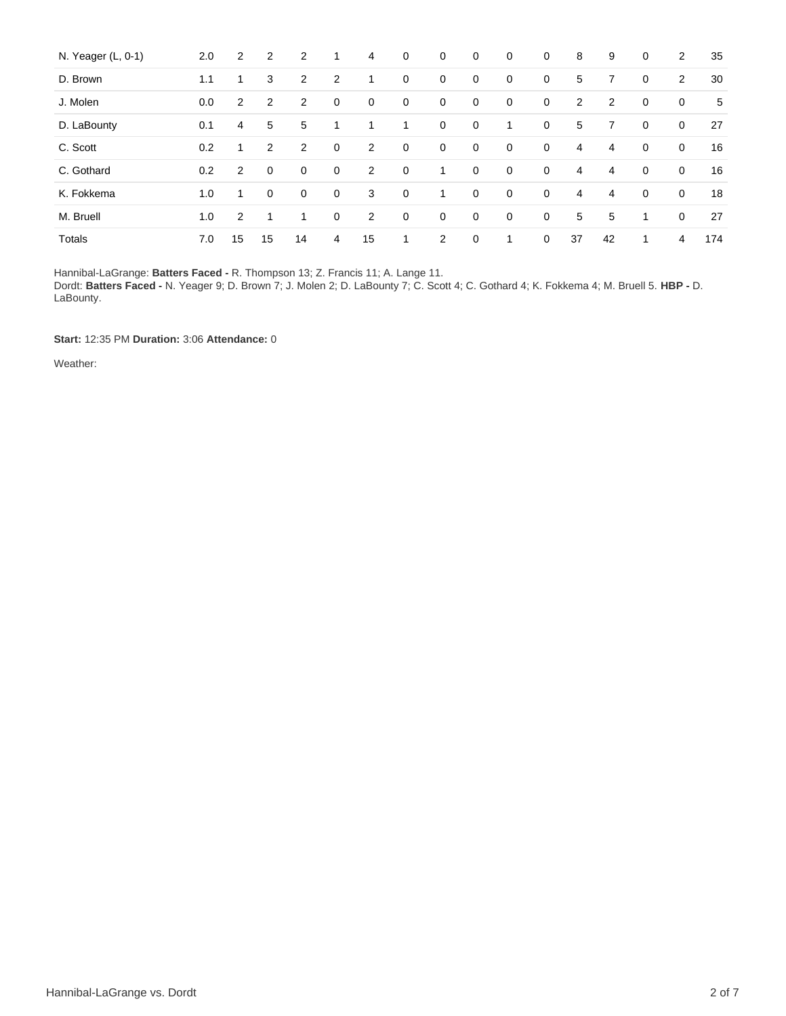| N. Yeager (L, 0-1) | 2.0 | $\overline{2}$ | 2              | 2              | 1              | 4              | $\mathbf 0$ | $\mathbf 0$ | $\mathbf 0$ | 0           | 0           | 8  | 9  | $\mathbf 0$ | 2           | 35  |
|--------------------|-----|----------------|----------------|----------------|----------------|----------------|-------------|-------------|-------------|-------------|-------------|----|----|-------------|-------------|-----|
| D. Brown           | 1.1 | 1              | 3              | $\overline{2}$ | $\overline{2}$ | 1              | 0           | 0           | $\mathbf 0$ | $\mathbf 0$ | 0           | 5  | 7  | $\mathbf 0$ | 2           | 30  |
| J. Molen           | 0.0 | $\overline{2}$ | 2              | 2              | 0              | $\mathbf 0$    | 0           | 0           | $\mathbf 0$ | 0           | 0           | 2  | 2  | 0           | 0           | 5   |
| D. LaBounty        | 0.1 | 4              | 5              | 5              |                | 1              | 1           | 0           | 0           | 1           | $\mathbf 0$ | 5  | 7  | $\mathbf 0$ | $\mathbf 0$ | 27  |
| C. Scott           | 0.2 | 1              | 2              | 2              | 0              | 2              | 0           | 0           | $\mathbf 0$ | $\mathbf 0$ | $\mathbf 0$ | 4  | 4  | $\mathbf 0$ | $\mathbf 0$ | 16  |
| C. Gothard         | 0.2 | $\overline{2}$ | $\overline{0}$ | $\mathbf 0$    | $\mathbf 0$    | $\overline{2}$ | 0           | 1           | $\mathbf 0$ | $\mathbf 0$ | 0           | 4  | 4  | $\mathbf 0$ | $\mathbf 0$ | 16  |
| K. Fokkema         | 1.0 | 1              | 0              | $\mathbf 0$    | $\mathbf 0$    | 3              | 0           | 1           | $\mathbf 0$ | 0           | 0           | 4  | 4  | $\mathbf 0$ | $\mathbf 0$ | 18  |
| M. Bruell          | 1.0 | 2              | ◢              | 1              | 0              | 2              | 0           | 0           | $\mathbf 0$ | 0           | $\mathbf 0$ | 5  | 5  | 1           | $\mathbf 0$ | 27  |
| <b>Totals</b>      | 7.0 | 15             | 15             | 14             | 4              | 15             | 1           | 2           | $\mathbf 0$ | 1           | $\mathbf 0$ | 37 | 42 | 1           | 4           | 174 |

Hannibal-LaGrange: **Batters Faced -** R. Thompson 13; Z. Francis 11; A. Lange 11. Dordt: **Batters Faced -** N. Yeager 9; D. Brown 7; J. Molen 2; D. LaBounty 7; C. Scott 4; C. Gothard 4; K. Fokkema 4; M. Bruell 5. **HBP -** D. LaBounty.

**Start:** 12:35 PM **Duration:** 3:06 **Attendance:** 0

Weather: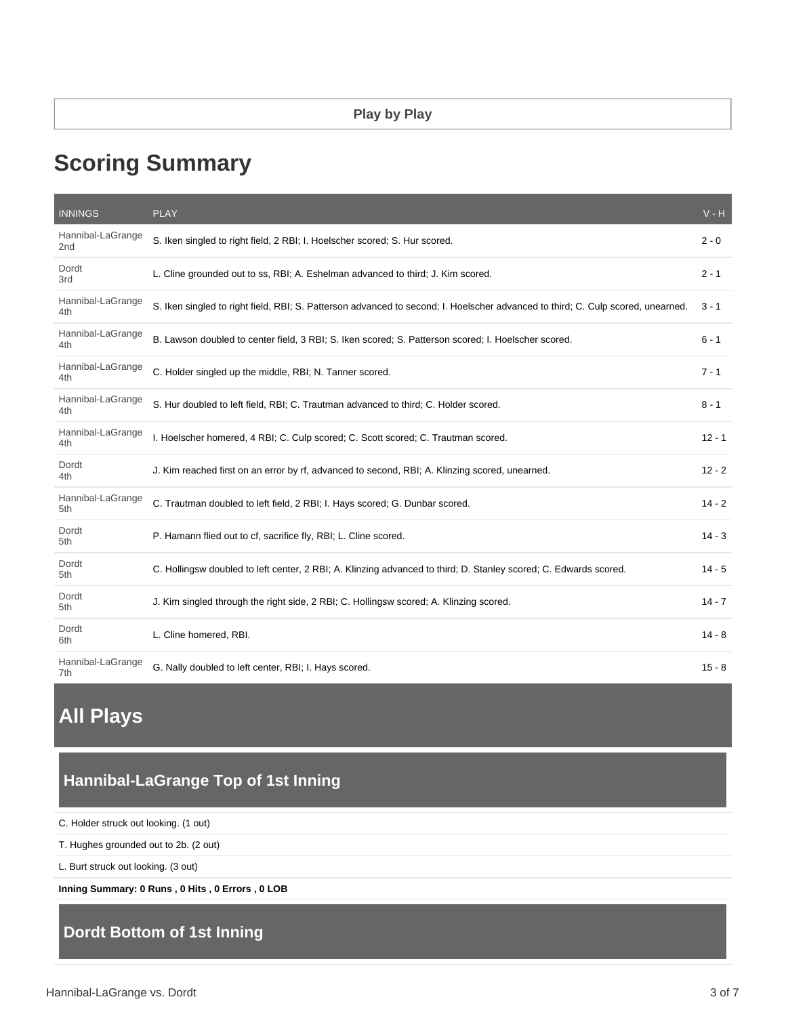# **Scoring Summary**

| <b>INNINGS</b>           | <b>PLAY</b>                                                                                                                     | $V - H$  |
|--------------------------|---------------------------------------------------------------------------------------------------------------------------------|----------|
| Hannibal-LaGrange<br>2nd | S. Iken singled to right field, 2 RBI; I. Hoelscher scored; S. Hur scored.                                                      | $2 - 0$  |
| Dordt<br>3rd             | L. Cline grounded out to ss, RBI; A. Eshelman advanced to third; J. Kim scored.                                                 | $2 - 1$  |
| Hannibal-LaGrange<br>4th | S. Iken singled to right field, RBI; S. Patterson advanced to second; I. Hoelscher advanced to third; C. Culp scored, unearned. | $3 - 1$  |
| Hannibal-LaGrange<br>4th | B. Lawson doubled to center field, 3 RBI; S. Iken scored; S. Patterson scored; I. Hoelscher scored.                             | $6 - 1$  |
| Hannibal-LaGrange<br>4th | C. Holder singled up the middle, RBI; N. Tanner scored.                                                                         | $7 - 1$  |
| Hannibal-LaGrange<br>4th | S. Hur doubled to left field, RBI; C. Trautman advanced to third; C. Holder scored.                                             | $8 - 1$  |
| Hannibal-LaGrange<br>4th | I. Hoelscher homered, 4 RBI; C. Culp scored; C. Scott scored; C. Trautman scored.                                               | $12 - 1$ |
| Dordt<br>4th             | J. Kim reached first on an error by rf, advanced to second, RBI; A. Klinzing scored, unearned.                                  | $12 - 2$ |
| Hannibal-LaGrange<br>5th | C. Trautman doubled to left field, 2 RBI; I. Hays scored; G. Dunbar scored.                                                     | $14 - 2$ |
| Dordt<br>5th             | P. Hamann flied out to cf, sacrifice fly, RBI; L. Cline scored.                                                                 | $14 - 3$ |
| Dordt<br>5th             | C. Hollingsw doubled to left center, 2 RBI; A. Klinzing advanced to third; D. Stanley scored; C. Edwards scored.                | $14 - 5$ |
| Dordt<br>5th             | J. Kim singled through the right side, 2 RBI; C. Hollingsw scored; A. Klinzing scored.                                          | $14 - 7$ |
| Dordt<br>6th             | L. Cline homered, RBI.                                                                                                          | $14 - 8$ |
| Hannibal-LaGrange<br>7th | G. Nally doubled to left center, RBI; I. Hays scored.                                                                           | $15 - 8$ |

# **All Plays**

# **Hannibal-LaGrange Top of 1st Inning**

C. Holder struck out looking. (1 out)

T. Hughes grounded out to 2b. (2 out)

L. Burt struck out looking. (3 out)

**Inning Summary: 0 Runs , 0 Hits , 0 Errors , 0 LOB**

# **Dordt Bottom of 1st Inning**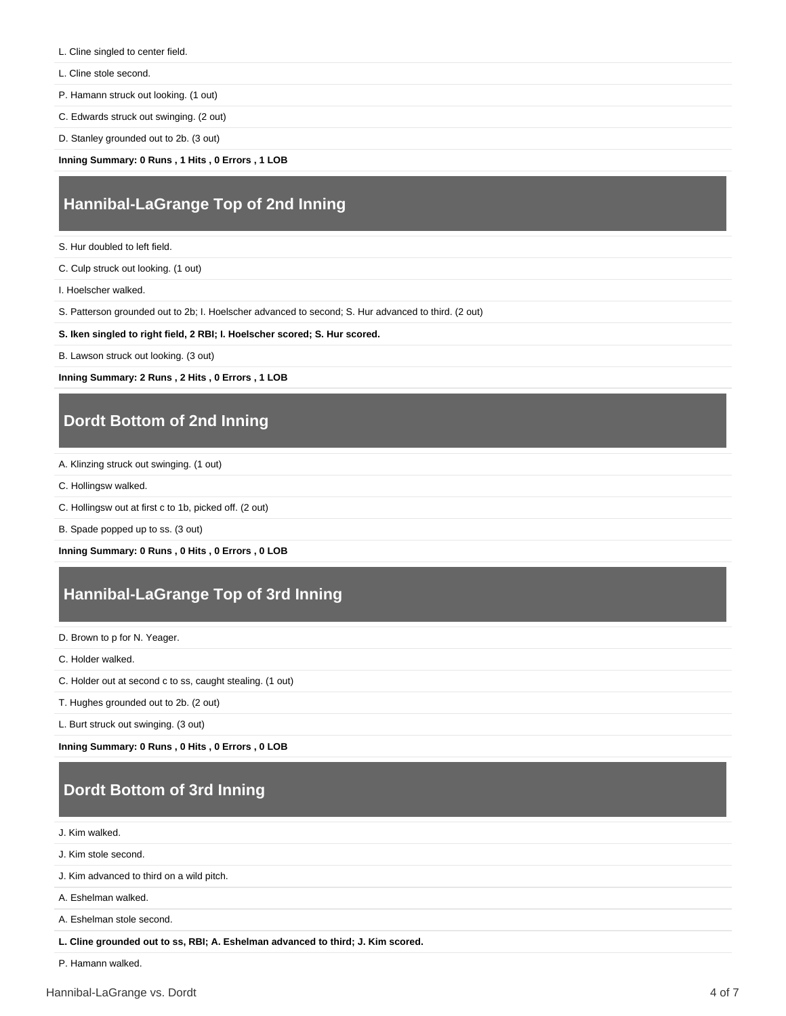- L. Cline singled to center field.
- L. Cline stole second.

P. Hamann struck out looking. (1 out)

C. Edwards struck out swinging. (2 out)

D. Stanley grounded out to 2b. (3 out)

**Inning Summary: 0 Runs , 1 Hits , 0 Errors , 1 LOB**

#### **Hannibal-LaGrange Top of 2nd Inning**

S. Hur doubled to left field.

C. Culp struck out looking. (1 out)

I. Hoelscher walked.

S. Patterson grounded out to 2b; I. Hoelscher advanced to second; S. Hur advanced to third. (2 out)

**S. Iken singled to right field, 2 RBI; I. Hoelscher scored; S. Hur scored.**

B. Lawson struck out looking. (3 out)

**Inning Summary: 2 Runs , 2 Hits , 0 Errors , 1 LOB**

## **Dordt Bottom of 2nd Inning**

- A. Klinzing struck out swinging. (1 out)
- C. Hollingsw walked.
- C. Hollingsw out at first c to 1b, picked off. (2 out)

B. Spade popped up to ss. (3 out)

**Inning Summary: 0 Runs , 0 Hits , 0 Errors , 0 LOB**

# **Hannibal-LaGrange Top of 3rd Inning**

D. Brown to p for N. Yeager.

C. Holder walked.

C. Holder out at second c to ss, caught stealing. (1 out)

T. Hughes grounded out to 2b. (2 out)

L. Burt struck out swinging. (3 out)

**Inning Summary: 0 Runs , 0 Hits , 0 Errors , 0 LOB**

# **Dordt Bottom of 3rd Inning**

J. Kim walked.

J. Kim stole second.

J. Kim advanced to third on a wild pitch.

A. Eshelman walked.

A. Eshelman stole second.

**L. Cline grounded out to ss, RBI; A. Eshelman advanced to third; J. Kim scored.**

P. Hamann walked.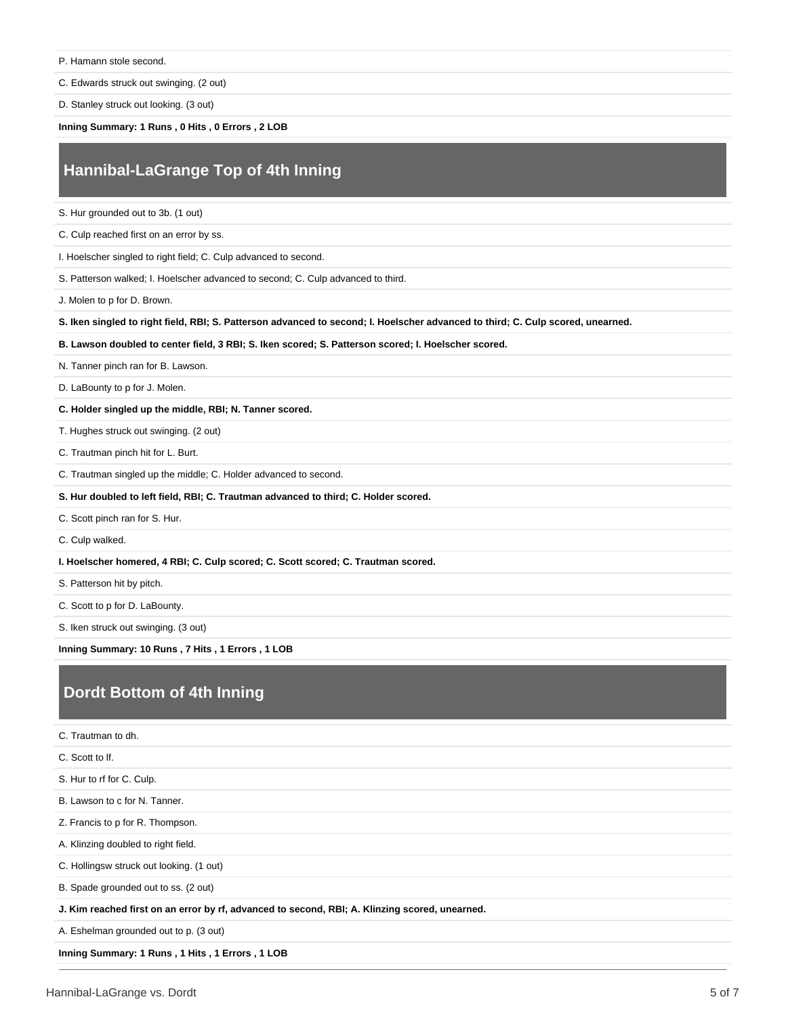P. Hamann stole second.

C. Edwards struck out swinging. (2 out)

D. Stanley struck out looking. (3 out)

**Inning Summary: 1 Runs , 0 Hits , 0 Errors , 2 LOB**

### **Hannibal-LaGrange Top of 4th Inning**

S. Hur grounded out to 3b. (1 out)

C. Culp reached first on an error by ss.

I. Hoelscher singled to right field; C. Culp advanced to second.

S. Patterson walked; I. Hoelscher advanced to second; C. Culp advanced to third.

J. Molen to p for D. Brown.

**S. Iken singled to right field, RBI; S. Patterson advanced to second; I. Hoelscher advanced to third; C. Culp scored, unearned.**

**B. Lawson doubled to center field, 3 RBI; S. Iken scored; S. Patterson scored; I. Hoelscher scored.**

N. Tanner pinch ran for B. Lawson.

D. LaBounty to p for J. Molen.

**C. Holder singled up the middle, RBI; N. Tanner scored.**

T. Hughes struck out swinging. (2 out)

C. Trautman pinch hit for L. Burt.

C. Trautman singled up the middle; C. Holder advanced to second.

**S. Hur doubled to left field, RBI; C. Trautman advanced to third; C. Holder scored.**

C. Scott pinch ran for S. Hur.

C. Culp walked.

**I. Hoelscher homered, 4 RBI; C. Culp scored; C. Scott scored; C. Trautman scored.**

S. Patterson hit by pitch.

C. Scott to p for D. LaBounty.

S. Iken struck out swinging. (3 out)

**Inning Summary: 10 Runs , 7 Hits , 1 Errors , 1 LOB**

# **Dordt Bottom of 4th Inning**

C. Trautman to dh. C. Scott to lf. S. Hur to rf for C. Culp. B. Lawson to c for N. Tanner. Z. Francis to p for R. Thompson. A. Klinzing doubled to right field. C. Hollingsw struck out looking. (1 out) B. Spade grounded out to ss. (2 out) **J. Kim reached first on an error by rf, advanced to second, RBI; A. Klinzing scored, unearned.** A. Eshelman grounded out to p. (3 out) **Inning Summary: 1 Runs , 1 Hits , 1 Errors , 1 LOB**

Hannibal-LaGrange vs. Dordt 5 of 7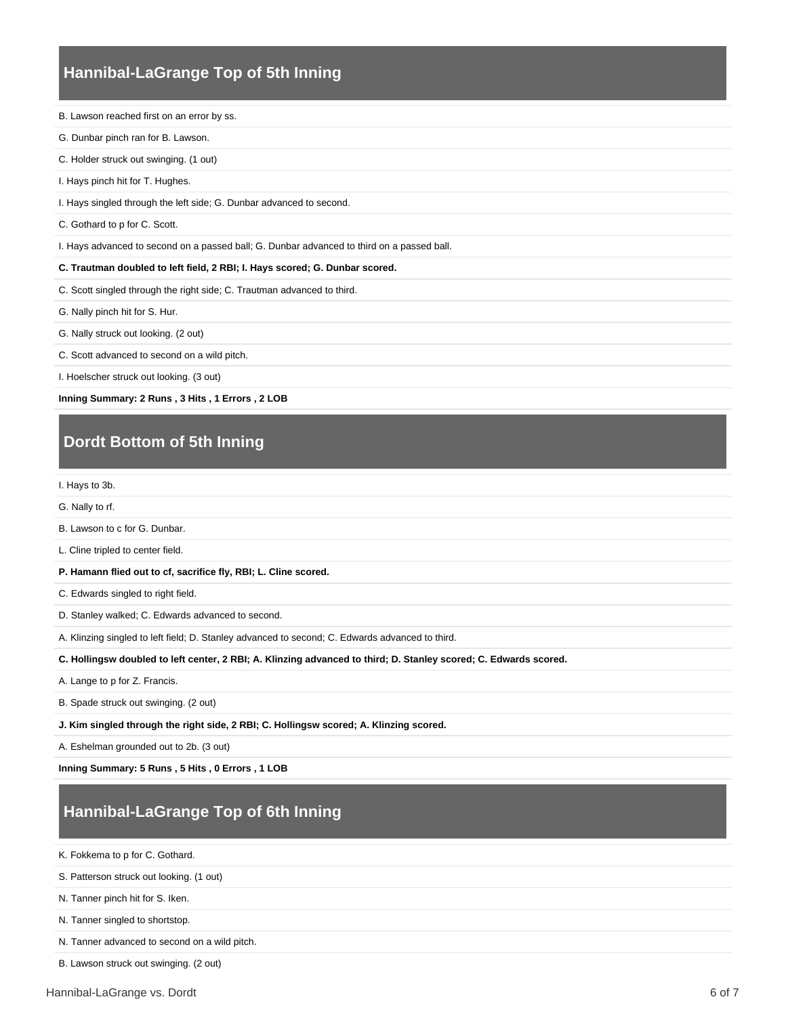### **Hannibal-LaGrange Top of 5th Inning**

B. Lawson reached first on an error by ss.

- G. Dunbar pinch ran for B. Lawson.
- C. Holder struck out swinging. (1 out)
- I. Hays pinch hit for T. Hughes.
- I. Hays singled through the left side; G. Dunbar advanced to second.
- C. Gothard to p for C. Scott.

I. Hays advanced to second on a passed ball; G. Dunbar advanced to third on a passed ball.

#### **C. Trautman doubled to left field, 2 RBI; I. Hays scored; G. Dunbar scored.**

C. Scott singled through the right side; C. Trautman advanced to third.

G. Nally pinch hit for S. Hur.

- G. Nally struck out looking. (2 out)
- C. Scott advanced to second on a wild pitch.

I. Hoelscher struck out looking. (3 out)

**Inning Summary: 2 Runs , 3 Hits , 1 Errors , 2 LOB**

# **Dordt Bottom of 5th Inning**

I. Hays to 3b.

G. Nally to rf.

- B. Lawson to c for G. Dunbar.
- L. Cline tripled to center field.
- **P. Hamann flied out to cf, sacrifice fly, RBI; L. Cline scored.**

C. Edwards singled to right field.

D. Stanley walked; C. Edwards advanced to second.

A. Klinzing singled to left field; D. Stanley advanced to second; C. Edwards advanced to third.

**C. Hollingsw doubled to left center, 2 RBI; A. Klinzing advanced to third; D. Stanley scored; C. Edwards scored.**

A. Lange to p for Z. Francis.

B. Spade struck out swinging. (2 out)

**J. Kim singled through the right side, 2 RBI; C. Hollingsw scored; A. Klinzing scored.**

A. Eshelman grounded out to 2b. (3 out)

**Inning Summary: 5 Runs , 5 Hits , 0 Errors , 1 LOB**

#### **Hannibal-LaGrange Top of 6th Inning**

K. Fokkema to p for C. Gothard.

S. Patterson struck out looking. (1 out)

N. Tanner pinch hit for S. Iken.

N. Tanner singled to shortstop.

N. Tanner advanced to second on a wild pitch.

B. Lawson struck out swinging. (2 out)

Hannibal-LaGrange vs. Dordt 6 of 7